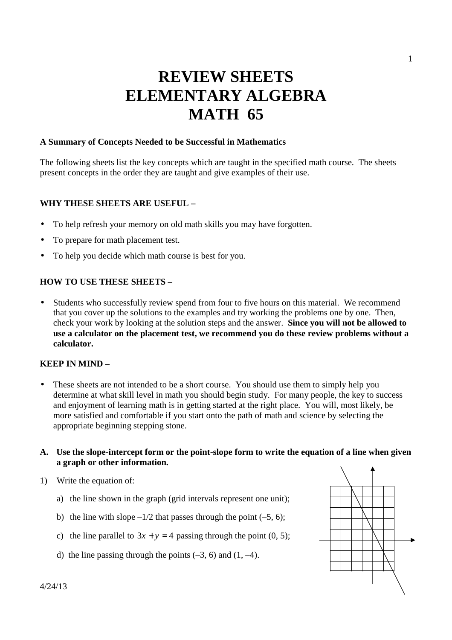# **REVIEW SHEETS ELEMENTARY ALGEBRA MATH 65**

# **A Summary of Concepts Needed to be Successful in Mathematics**

The following sheets list the key concepts which are taught in the specified math course. The sheets present concepts in the order they are taught and give examples of their use.

# **WHY THESE SHEETS ARE USEFUL –**

- To help refresh your memory on old math skills you may have forgotten.
- To prepare for math placement test.
- To help you decide which math course is best for you.

# **HOW TO USE THESE SHEETS –**

• Students who successfully review spend from four to five hours on this material. We recommend that you cover up the solutions to the examples and try working the problems one by one. Then, check your work by looking at the solution steps and the answer. **Since you will not be allowed to use a calculator on the placement test, we recommend you do these review problems without a calculator.** 

# **KEEP IN MIND –**

These sheets are not intended to be a short course. You should use them to simply help you determine at what skill level in math you should begin study. For many people, the key to success and enjoyment of learning math is in getting started at the right place. You will, most likely, be more satisfied and comfortable if you start onto the path of math and science by selecting the appropriate beginning stepping stone.

#### **A. Use the slope-intercept form or the point-slope form to write the equation of a line when given a graph or other information.**

- 1) Write the equation of:
	- a) the line shown in the graph (grid intervals represent one unit);
	- b) the line with slope  $-\frac{1}{2}$  that passes through the point  $(-5, 6)$ ;
	- c) the line parallel to  $3x + y = 4$  passing through the point (0, 5);
	- d) the line passing through the points  $(-3, 6)$  and  $(1, -4)$ .

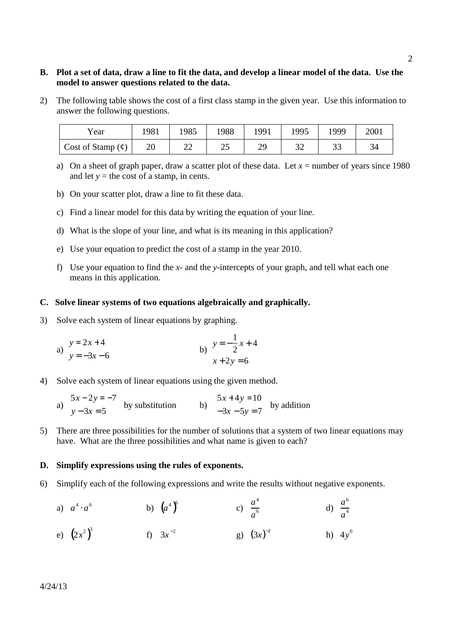# **B. Plot a set of data, draw a line to fit the data, and develop a linear model of the data. Use the model to answer questions related to the data.**

2) The following table shows the cost of a first class stamp in the given year. Use this information to answer the following questions.

| Year                      | 1981 | 1985 | 1988 | 1991             | 1995      | 1999           | 2001 |
|---------------------------|------|------|------|------------------|-----------|----------------|------|
| Cost of Stamp $(\varphi)$ | 20   | ∠∠   | ت    | າດ<br><u>ر ر</u> | າາ<br>ے د | $\gamma$<br>JJ |      |

- a) On a sheet of graph paper, draw a scatter plot of these data. Let  $x =$  number of years since 1980 and let  $y =$  the cost of a stamp, in cents.
- b) On your scatter plot, draw a line to fit these data.
- c) Find a linear model for this data by writing the equation of your line.
- d) What is the slope of your line, and what is its meaning in this application?
- e) Use your equation to predict the cost of a stamp in the year 2010.
- f) Use your equation to find the *x* and the *y*-intercepts of your graph, and tell what each one means in this application.

#### **C. Solve linear systems of two equations algebraically and graphically.**

3) Solve each system of linear equations by graphing.

a) 
$$
y=2x+4
$$
  
\nb)  $y=-\frac{1}{2}x+4$   
\nc)  $y=-\frac{1}{2}x+4$   
\nd)  $x+2y=6$ 

- 4) Solve each system of linear equations using the given method.
- a)  $5x - 2y = -7$  $y - 3x = 5$  by substitution b)  $5x + 4y = 10$  $-3x - 5y = 7$  by addition
- 5) There are three possibilities for the number of solutions that a system of two linear equations may have. What are the three possibilities and what name is given to each?

#### **D. Simplify expressions using the rules of exponents.**

- 6) Simplify each of the following expressions and write the results without negative exponents.
- a)  $a^4 \cdot a^6$ b)  $(a^4)$ <sup>6</sup> c)  $\frac{a^4}{6}$ *a* 6 d)  $\frac{a^6}{4}$ *a* 4
- e)  $(2x^2)^3$  f)  $3x^{-2}$ g)  $(3x)^{-2}$  h)  $4y^0$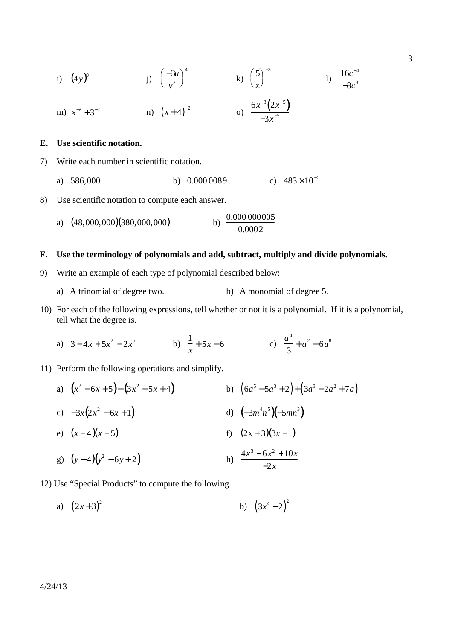i) 
$$
(4y)^0
$$
   
 j)  $\left(\frac{-3u}{v^2}\right)^4$    
 k)  $\left(\frac{5}{z}\right)^{-3}$    
 l)  $\frac{16c^{-4}}{-8c^8}$   
 m)  $x^{-2} + 3^{-2}$    
 n)  $(x+4)^{-2}$    
 o)  $\frac{6x^{-3}(2x^{-5})}{-3x^{-7}}$ 

#### **E. Use scientific notation.**

- 7) Write each number in scientific notation.
	- a) 586,000 b) 0.000 0089 c)  $483 \times 10^{-5}$
- 8) Use scientific notation to compute each answer.
	- a)  $(48,000,000)(380,000,000)$ b)  $\frac{0.000000005}{0.0002}$

#### **F. Use the terminology of polynomials and add, subtract, multiply and divide polynomials.**

- 9) Write an example of each type of polynomial described below:
	- a) A trinomial of degree two. b) A monomial of degree 5.
- 10) For each of the following expressions, tell whether or not it is a polynomial. If it is a polynomial, tell what the degree is.
- a)  $3-4x+5x^2-2x^5$  b)  $\frac{1}{2}$ *x* + 5*x* − 6 c)  $\frac{a^4}{2}$ 3  $+a^2 - 6a^8$
- 11) Perform the following operations and simplify.
- a)  $(x^2 6x + 5) (3x^2)$  $(3x^2 - 5x + 4)$  b)  $(6a^5 - 5a^3 + 2) + (3a^3 - 2a^2 + 7a)$ c)  $-3x(2x^2 - 6x + 1)$  d)  $(-3m)$  $(-3m^4n^5)(-5mn^3)$ e)  $(x-4)(x-5)$  f)  $(2x+3)(3x-1)$ g)  $(y-4)(y^2-6y+2)$  h)  $\frac{4x}{2}$  $3 - 6x^2 + 10x$ −2*x*
- 12) Use "Special Products" to compute the following.
- a)  $(2x+3)^2$  $(3x^4-2)^2$  b)  $(3x^4-2)^2$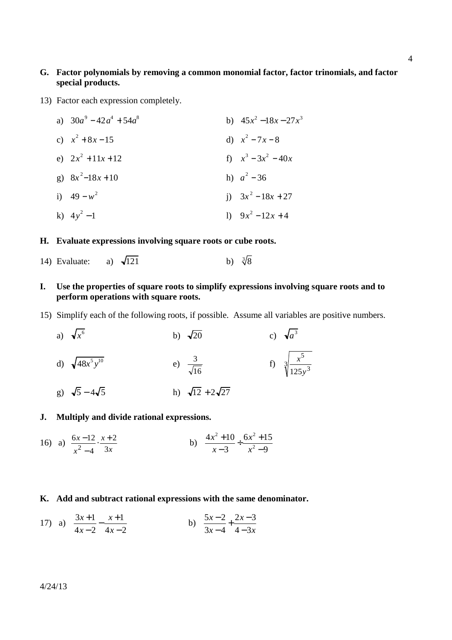# **G. Factor polynomials by removing a common monomial factor, factor trinomials, and factor special products.**

13) Factor each expression completely.

|  | a) $30a^9 - 42a^4 + 54a^8$ | b) $45x^2 - 18x - 27x^3$ |
|--|----------------------------|--------------------------|
|  | c) $x^2 + 8x - 15$         | d) $x^2 - 7x - 8$        |
|  | e) $2x^2 + 11x + 12$       | f) $x^3 - 3x^2 - 40x$    |
|  | g) $8x^2-18x+10$           | h) $a^2 - 36$            |
|  | i) $49 - w^2$              | i) $3x^2-18x+27$         |
|  | k) $4y^2-1$                | 1) $9x^2-12x+4$          |

# **H. Evaluate expressions involving square roots or cube roots.**

14) Evaluate: a)  $\sqrt{121}$ b)  $\sqrt[3]{8}$ 

# **I. Use the properties of square roots to simplify expressions involving square roots and to perform operations with square roots.**

15) Simplify each of the following roots, if possible. Assume all variables are positive numbers.

a) 
$$
\sqrt{x^6}
$$
  
\nb)  $\sqrt{20}$   
\nc)  $\sqrt{a^3}$   
\nd)  $\sqrt{48x^5y^{10}}$   
\ne)  $\frac{3}{\sqrt{16}}$   
\nf)  $\sqrt[3]{\frac{x^5}{125y^3}}$   
\ng)  $\sqrt{5} - 4\sqrt{5}$   
\nh)  $\sqrt{12} + 2\sqrt{27}$ 

# **J. Multiply and divide rational expressions.**

16) a) 
$$
\frac{6x-12}{x^2-4} \cdot \frac{x+2}{3x}
$$
 b)  $\frac{4x^2+10}{x-3} \div \frac{6x^2+15}{x^2-9}$ 

### **K. Add and subtract rational expressions with the same denominator.**

17) a) 
$$
\frac{3x+1}{4x-2} - \frac{x+1}{4x-2}
$$
 b)  $\frac{5x-2}{3x-4} + \frac{2x-3}{4-3x}$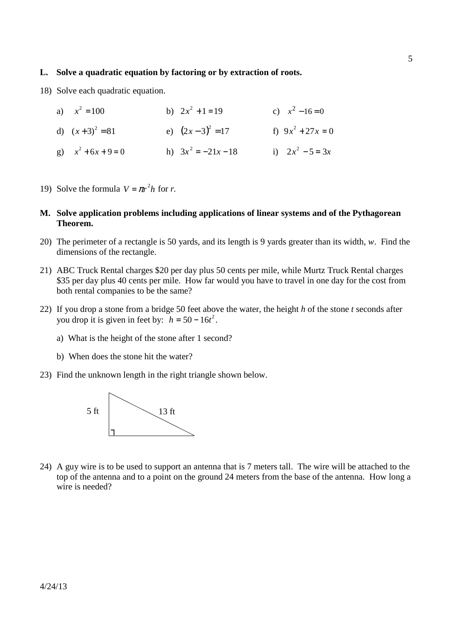#### **L. Solve a quadratic equation by factoring or by extraction of roots.**

18) Solve each quadratic equation.

| a) $x^2 = 100$        | b) $2x^2 + 1 = 19$    | c) $x^2 - 16 = 0$   |
|-----------------------|-----------------------|---------------------|
| d) $(x+3)^2 = 81$     | e) $(2x-3)^2 = 17$    | f) $9x^2 + 27x = 0$ |
| g) $x^2 + 6x + 9 = 0$ | h) $3x^2 = -21x - 18$ | i) $2x^2 - 5 = 3x$  |

- 19) Solve the formula  $V = \pi r^2 h$  for *r*.
- **M. Solve application problems including applications of linear systems and of the Pythagorean Theorem.**
- 20) The perimeter of a rectangle is 50 yards, and its length is 9 yards greater than its width, *w*. Find the dimensions of the rectangle.
- 21) ABC Truck Rental charges \$20 per day plus 50 cents per mile, while Murtz Truck Rental charges \$35 per day plus 40 cents per mile. How far would you have to travel in one day for the cost from both rental companies to be the same?
- 22) If you drop a stone from a bridge 50 feet above the water, the height *h* of the stone *t* seconds after you drop it is given in feet by:  $h = 50 - 16t^2$ .
	- a) What is the height of the stone after 1 second?
	- b) When does the stone hit the water?
- 23) Find the unknown length in the right triangle shown below.



24) A guy wire is to be used to support an antenna that is 7 meters tall. The wire will be attached to the top of the antenna and to a point on the ground 24 meters from the base of the antenna. How long a wire is needed?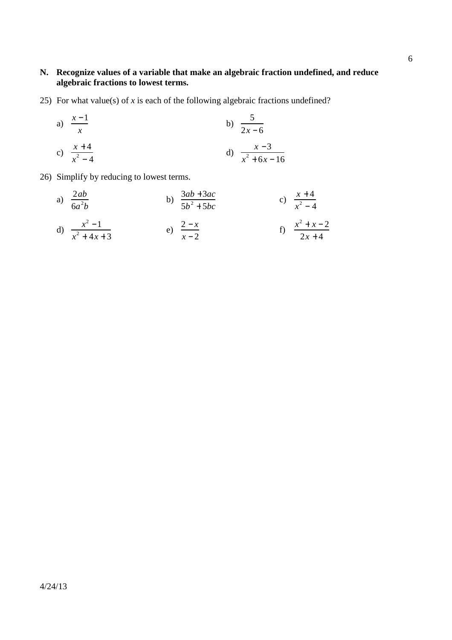# **N. Recognize values of a variable that make an algebraic fraction undefined, and reduce algebraic fractions to lowest terms.**

25) For what value(s) of *x* is each of the following algebraic fractions undefined?

a) 
$$
\frac{x-1}{x}
$$
  
b)  $\frac{5}{2x-6}$   
c)  $\frac{x+4}{x^2-4}$   
d)  $\frac{x-3}{x^2+6x-16}$ 

26) Simplify by reducing to lowest terms.

a) 
$$
\frac{2ab}{6a^2b}
$$
 b)  $\frac{3ab + 3ac}{5b^2 + 5bc}$  c)  $\frac{x+4}{x^2-4}$   
d)  $\frac{x^2-1}{x^2+4x+3}$  e)  $\frac{2-x}{x-2}$  f)  $\frac{x^2+x-2}{2x+4}$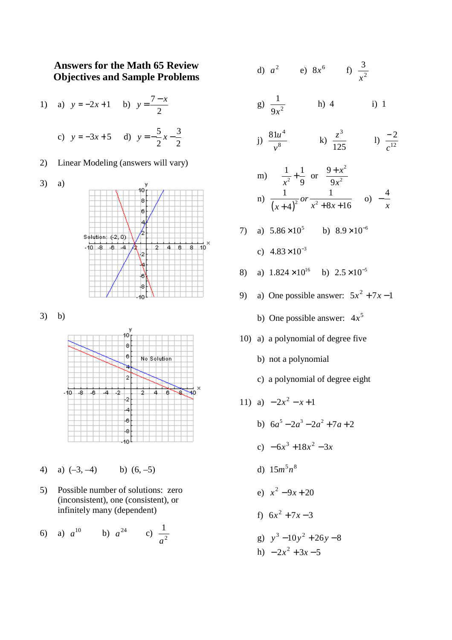# **Answers for the Math 65 Review Objectives and Sample Problems**

2

2

1) a)  $y = -2x + 1$  b)  $y = \frac{7}{5}$ 2  $y = \frac{7-x}{2}$ c)  $y = -3x + 5$  d)  $y = -\frac{5}{3}$  $x-\frac{3}{2}$ 

2) Linear Modeling (answers will vary)



3) b)



- 4) a)  $(-3, -4)$  b)  $(6, -5)$
- 5) Possible number of solutions: zero (inconsistent), one (consistent), or infinitely many (dependent)

6) a) 
$$
a^{10}
$$
 b)  $a^{24}$  c)  $\frac{1}{a^2}$ 

d) 
$$
a^2
$$
 e)  $8x^6$  f)  $\frac{3}{x^2}$ 

g)  $\frac{1}{9x^2}$ 1 *x* h) 4 i) 1

j) 
$$
\frac{81u^4}{v^8}
$$
 \t k)  $\frac{z^3}{125}$  \t l)  $\frac{-2}{c^{12}}$ 

m) 
$$
\frac{1}{x^2} + \frac{1}{9}
$$
 or  $\frac{9 + x^2}{9x^2}$   
\nn)  $\frac{1}{(x+4)^2}$  or  $\frac{1}{x^2 + 8x + 16}$  o)  $-\frac{4}{x}$ 

7) a) 
$$
5.86 \times 10^5
$$
 b)  $8.9 \times 10^{-6}$ 

c)  $4.83 \times 10^{-3}$ 

- 8) a)  $1.824 \times 10^{16}$  b)  $2.5 \times 10^{-5}$
- 9) a) One possible answer:  $5x^2 + 7x 1$ 
	- b) One possible answer:  $4x^5$
- 10) a) a polynomial of degree five
	- b) not a polynomial
	- c) a polynomial of degree eight

11) a) 
$$
-2x^2 - x + 1
$$

- b)  $6a^5 2a^3 2a^2 + 7a + 2$ c)  $-6x^3 + 18x^2 - 3x$ d)  $15m^5n^8$ e)  $x^2 - 9x + 20$ f)  $6x^2 + 7x - 3$ g)  $y^3 - 10y^2 + 26y - 8$ 
	- h)  $-2x^2 + 3x 5$